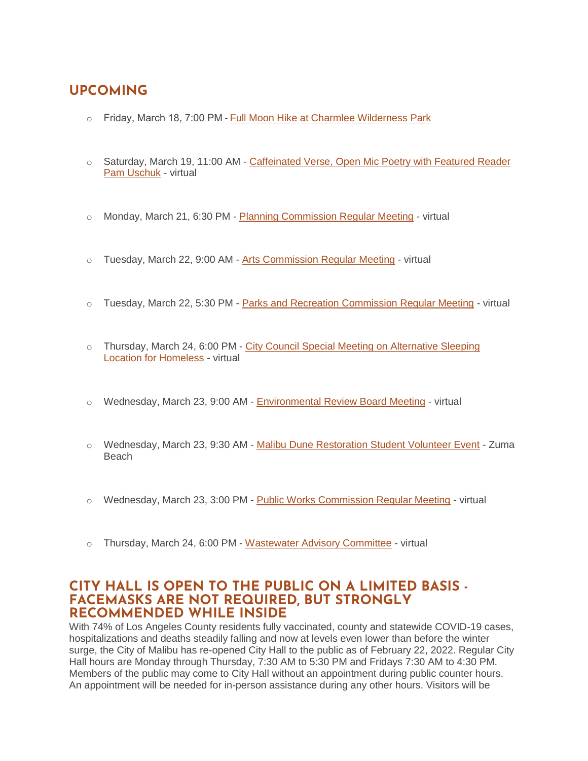# **UPCOMING**

- o Friday, March 18, 7:00 PM [Full Moon Hike at Charmlee Wilderness Park](https://www.malibucity.org/Calendar.aspx?EID=6437&month=3&year=2022&day=18&calType=0)
- o Saturday, March 19, 11:00 AM [Caffeinated Verse, Open Mic Poetry with Featured Reader](https://www.malibucity.org/Calendar.aspx?EID=6405&month=3&year=2022&day=19&calType=0)  [Pam Uschuk](https://www.malibucity.org/Calendar.aspx?EID=6405&month=3&year=2022&day=19&calType=0) - virtual
- o Monday, March 21, 6:30 PM [Planning Commission Regular Meeting](https://www.malibucity.org/Calendar.aspx?EID=6344&month=3&year=2022&day=21&calType=0) virtual
- o Tuesday, March 22, 9:00 AM [Arts Commission Regular Meeting](https://www.malibucity.org/Calendar.aspx?EID=6280&month=3&year=2022&day=22&calType=0) virtual
- $\circ$  Tuesday, March 22, 5:30 PM [Parks and Recreation Commission Regular Meeting](https://www.malibucity.org/Calendar.aspx?EID=6642&month=3&year=2022&day=22&calType=0) virtual
- o Thursday, March 24, 6:00 PM [City Council Special Meeting on Alternative Sleeping](https://www.malibucity.org/virtualmeeting)  [Location for Homeless](https://www.malibucity.org/virtualmeeting) - virtual
- o Wednesday, March 23, 9:00 AM [Environmental Review Board Meeting](https://www.malibucity.org/Calendar.aspx?EID=4561&month=3&year=2022&day=23&calType=0) virtual
- o Wednesday, March 23, 9:30 AM [Malibu Dune Restoration Student Volunteer Event](https://www.malibucity.org/Calendar.aspx?EID=6619&month=3&year=2022&day=23&calType=0) Zuma Beach
- $\circ$  Wednesday, March 23, 3:00 PM [Public Works Commission Regular Meeting](https://www.malibucity.org/Calendar.aspx?EID=6356&month=3&year=2022&day=23&calType=0) virtual
- o Thursday, March 24, 6:00 PM [Wastewater Advisory Committee](https://www.malibucity.org/Calendar.aspx?EID=6208&month=3&year=2022&day=24&calType=0) virtual

### **CITY HALL IS OPEN TO THE PUBLIC ON A LIMITED BASIS - FACEMASKS ARE NOT REQUIRED, BUT STRONGLY RECOMMENDED WHILE INSIDE**

With 74% of Los Angeles County residents fully vaccinated, county and statewide COVID-19 cases, hospitalizations and deaths steadily falling and now at levels even lower than before the winter surge, the City of Malibu has re-opened City Hall to the public as of February 22, 2022. Regular City Hall hours are Monday through Thursday, 7:30 AM to 5:30 PM and Fridays 7:30 AM to 4:30 PM. Members of the public may come to City Hall without an appointment during public counter hours. An appointment will be needed for in-person assistance during any other hours. Visitors will be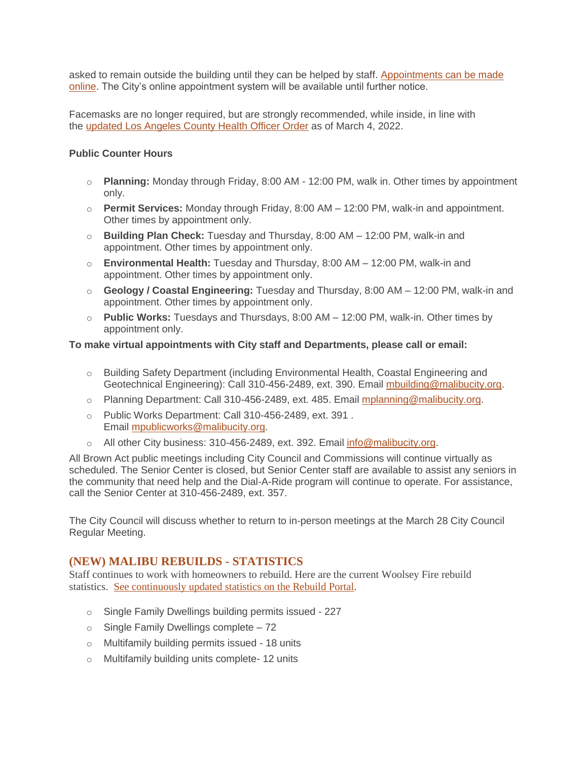asked to remain outside the building until they can be helped by staff. [Appointments can be made](http://www.malibucity.org/appointments)  [online.](http://www.malibucity.org/appointments) The City's online appointment system will be available until further notice.

Facemasks are no longer required, but are strongly recommended, while inside, in line with the [updated Los Angeles County Health Officer Order](http://publichealth.lacounty.gov/media/Coronavirus/docs/HOO/HOO_SaferReturnWorkCommunity.pdf) as of March 4, 2022.

#### **Public Counter Hours**

- o **Planning:** Monday through Friday, 8:00 AM 12:00 PM, walk in. Other times by appointment only.
- o **Permit Services:** Monday through Friday, 8:00 AM 12:00 PM, walk-in and appointment. Other times by appointment only.
- o **Building Plan Check:** Tuesday and Thursday, 8:00 AM 12:00 PM, walk-in and appointment. Other times by appointment only.
- o **Environmental Health:** Tuesday and Thursday, 8:00 AM 12:00 PM, walk-in and appointment. Other times by appointment only.
- o **Geology / Coastal Engineering:** Tuesday and Thursday, 8:00 AM 12:00 PM, walk-in and appointment. Other times by appointment only.
- o **Public Works:** Tuesdays and Thursdays, 8:00 AM 12:00 PM, walk-in. Other times by appointment only.

#### **To make virtual appointments with City staff and Departments, please call or email:**

- o Building Safety Department (including Environmental Health, Coastal Engineering and Geotechnical Engineering): Call 310-456-2489, ext. 390. Email [mbuilding@malibucity.org.](mailto:mbuilding@malibucity.org)
- o Planning Department: Call 310-456-2489, ext. 485. Email [mplanning@malibucity.org.](mailto:mplanning@malibucity.org)
- o Public Works Department: Call 310-456-2489, ext. 391 . Email [mpublicworks@malibucity.org.](mailto:mpublicworks@malibucity.org)
- $\circ$  All other City business: 310-456-2489, ext. 392. Email [info@malibucity.org.](mailto:info@malibucity.org)

All Brown Act public meetings including City Council and Commissions will continue virtually as scheduled. The Senior Center is closed, but Senior Center staff are available to assist any seniors in the community that need help and the Dial-A-Ride program will continue to operate. For assistance, call the Senior Center at 310-456-2489, ext. 357.

The City Council will discuss whether to return to in-person meetings at the March 28 City Council Regular Meeting.

### **(NEW) MALIBU REBUILDS - STATISTICS**

Staff continues to work with homeowners to rebuild. Here are the current Woolsey Fire rebuild statistics. See [continuously](https://malibupermits.ci.malibu.ca.us/WoolseyRebuildStats.aspx?returnId=901) updated statistics on the Rebuild Portal.

- o Single Family Dwellings building permits issued 227
- $\circ$  Single Family Dwellings complete 72
- o Multifamily building permits issued 18 units
- o Multifamily building units complete- 12 units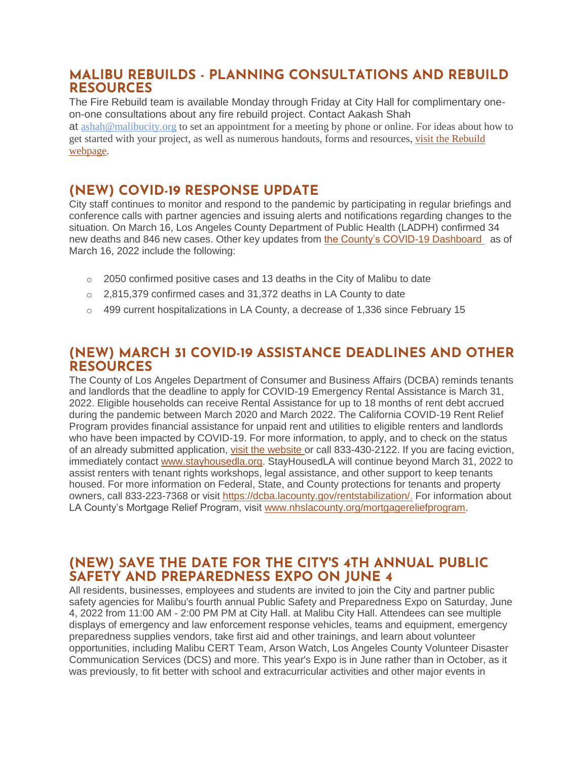### **MALIBU REBUILDS - PLANNING CONSULTATIONS AND REBUILD RESOURCES**

The Fire Rebuild team is available Monday through Friday at City Hall for complimentary oneon-one consultations about any fire rebuild project. Contact Aakash Shah at [ashah@malibucity.org](mailto:ashah@malibucity.org) to set an appointment for a meeting by phone or online. For ideas about how to get started with your project, as well as numerous handouts, forms and resources, visit the [Rebuild](https://www.malibucity.org/901/Malibu-Rebuilds) [webpage.](https://www.malibucity.org/901/Malibu-Rebuilds)

## **(NEW) COVID-19 RESPONSE UPDATE**

City staff continues to monitor and respond to the pandemic by participating in regular briefings and conference calls with partner agencies and issuing alerts and notifications regarding changes to the situation. On March 16, Los Angeles County Department of Public Health (LADPH) confirmed 34 new deaths and 846 new cases. Other key updates from [the County's COVID-19 Dashboard](http://publichealth.lacounty.gov/media/coronavirus/data/index.htm) as of March 16, 2022 include the following:

- $\circ$  2050 confirmed positive cases and 13 deaths in the City of Malibu to date
- o 2,815,379 confirmed cases and 31,372 deaths in LA County to date
- $\circ$  499 current hospitalizations in LA County, a decrease of 1,336 since February 15

# **(NEW) MARCH 31 COVID-19 ASSISTANCE DEADLINES AND OTHER RESOURCES**

The County of Los Angeles Department of Consumer and Business Affairs (DCBA) reminds tenants and landlords that the deadline to apply for COVID-19 Emergency Rental Assistance is March 31, 2022. Eligible households can receive Rental Assistance for up to 18 months of rent debt accrued during the pandemic between March 2020 and March 2022. The California COVID-19 Rent Relief Program provides financial assistance for unpaid rent and utilities to eligible renters and landlords who have been impacted by COVID-19. For more information, to apply, and to check on the status of an already submitted application, [visit the website](https://housing.ca.gov/covid_rr) or call 833-430-2122. If you are facing eviction, immediately contact [www.stayhousedla.org.](http://www.stayhousedla.org/) StayHousedLA will continue beyond March 31, 2022 to assist renters with tenant rights workshops, legal assistance, and other support to keep tenants housed. For more information on Federal, State, and County protections for tenants and property owners, call 833-223-7368 or visit <https://dcba.lacounty.gov/rentstabilization/>[.](http://www.rent.lacounty.gov/) For information about LA County's Mortgage Relief Program, visit [www.nhslacounty.org/mortgagereliefprogram.](http://www.nhslacounty.org/mortgagereliefprogram)

### **(NEW) SAVE THE DATE FOR THE CITY'S 4TH ANNUAL PUBLIC SAFETY AND PREPAREDNESS EXPO ON JUNE 4**

All residents, businesses, employees and students are invited to join the City and partner public safety agencies for Malibu's fourth annual Public Safety and Preparedness Expo on Saturday, June 4, 2022 from 11:00 AM - 2:00 PM PM at City Hall. at Malibu City Hall. Attendees can see multiple displays of emergency and law enforcement response vehicles, teams and equipment, emergency preparedness supplies vendors, take first aid and other trainings, and learn about volunteer opportunities, including Malibu CERT Team, Arson Watch, Los Angeles County Volunteer Disaster Communication Services (DCS) and more. This year's Expo is in June rather than in October, as it was previously, to fit better with school and extracurricular activities and other major events in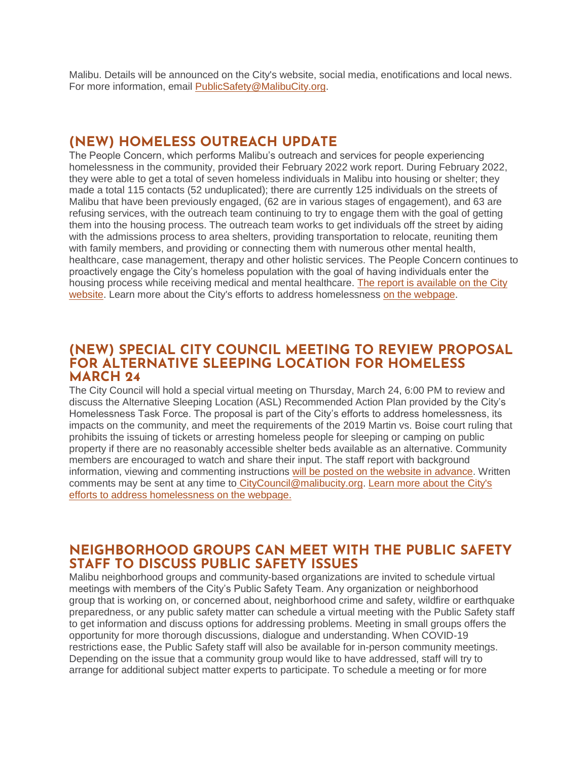Malibu. Details will be announced on the City's website, social media, enotifications and local news. For more information, email [PublicSafety@MalibuCity.org.](mailto:PublicSafety@MalibuCity.org)

### **(NEW) HOMELESS OUTREACH UPDATE**

The People Concern, which performs Malibu's outreach and services for people experiencing homelessness in the community, provided their February 2022 work report. During February 2022, they were able to get a total of seven homeless individuals in Malibu into housing or shelter; they made a total 115 contacts (52 unduplicated); there are currently 125 individuals on the streets of Malibu that have been previously engaged, (62 are in various stages of engagement), and 63 are refusing services, with the outreach team continuing to try to engage them with the goal of getting them into the housing process. The outreach team works to get individuals off the street by aiding with the admissions process to area shelters, providing transportation to relocate, reuniting them with family members, and providing or connecting them with numerous other mental health, healthcare, case management, therapy and other holistic services. The People Concern continues to proactively engage the City's homeless population with the goal of having individuals enter the housing process while receiving medical and mental healthcare. [The report is available on the City](https://www.malibucity.org/ArchiveCenter/ViewFile/Item/450)  [website.](https://www.malibucity.org/ArchiveCenter/ViewFile/Item/450) Learn more about the City's efforts to address homelessness [on the webpage.](https://www.malibucity.org/homelessness)

### **(NEW) SPECIAL CITY COUNCIL MEETING TO REVIEW PROPOSAL FOR ALTERNATIVE SLEEPING LOCATION FOR HOMELESS MARCH 24**

The City Council will hold a special virtual meeting on Thursday, March 24, 6:00 PM to review and discuss the Alternative Sleeping Location (ASL) Recommended Action Plan provided by the City's Homelessness Task Force. The proposal is part of the City's efforts to address homelessness, its impacts on the community, and meet the requirements of the 2019 Martin vs. Boise court ruling that prohibits the issuing of tickets or arresting homeless people for sleeping or camping on public property if there are no reasonably accessible shelter beds available as an alternative. Community members are encouraged to watch and share their input. The staff report with background information, viewing and commenting instructions [will be posted on the website in advance.](http://www.malibucity.org/VirtualMeeting) Written comments may be sent at any time to [CityCouncil@malibucity.org.](mailto:CityCouncil@malibucity.org) [Learn more about the City's](https://www.malibucity.org/homelessness)  [efforts to address homelessness on the webpage.](https://www.malibucity.org/homelessness)

## **NEIGHBORHOOD GROUPS CAN MEET WITH THE PUBLIC SAFETY STAFF TO DISCUSS PUBLIC SAFETY ISSUES**

Malibu neighborhood groups and community-based organizations are invited to schedule virtual meetings with members of the City's Public Safety Team. Any organization or neighborhood group that is working on, or concerned about, neighborhood crime and safety, wildfire or earthquake preparedness, or any public safety matter can schedule a virtual meeting with the Public Safety staff to get information and discuss options for addressing problems. Meeting in small groups offers the opportunity for more thorough discussions, dialogue and understanding. When COVID-19 restrictions ease, the Public Safety staff will also be available for in-person community meetings. Depending on the issue that a community group would like to have addressed, staff will try to arrange for additional subject matter experts to participate. To schedule a meeting or for more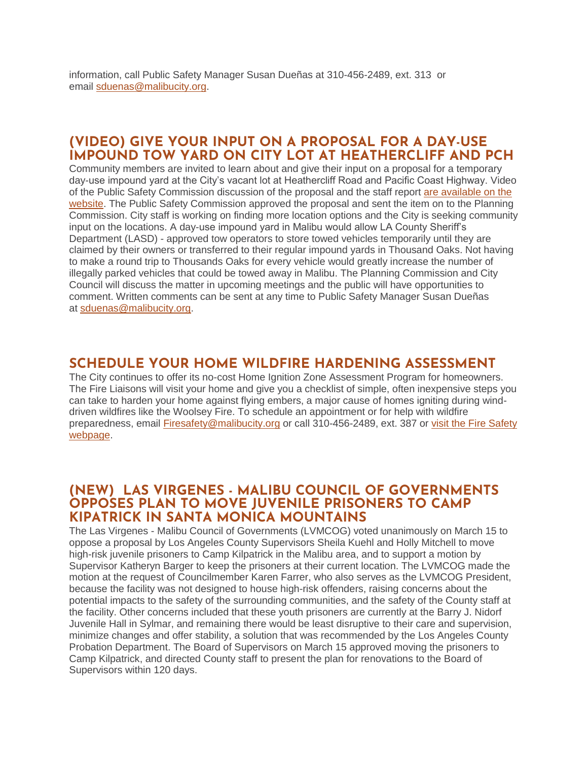information, call Public Safety Manager Susan Dueñas at 310-456-2489, ext. 313 or email [sduenas@malibucity.org.](mailto:sduenas@malibucity.org)

### **(VIDEO) GIVE YOUR INPUT ON A PROPOSAL FOR A DAY-USE IMPOUND TOW YARD ON CITY LOT AT HEATHERCLIFF AND PCH**

Community members are invited to learn about and give their input on a proposal for a temporary day-use impound yard at the City's vacant lot at Heathercliff Road and Pacific Coast Highway. Video of the Public Safety Commission discussion of the proposal and the staff report [are available on the](https://malibucity.primegov.com/Portal/Meeting?compiledMeetingDocumentFileId=2431)  [website.](https://malibucity.primegov.com/Portal/Meeting?compiledMeetingDocumentFileId=2431) The Public Safety Commission approved the proposal and sent the item on to the Planning Commission. City staff is working on finding more location options and the City is seeking community input on the locations. A day-use impound yard in Malibu would allow LA County Sheriff's Department (LASD) - approved tow operators to store towed vehicles temporarily until they are claimed by their owners or transferred to their regular impound yards in Thousand Oaks. Not having to make a round trip to Thousands Oaks for every vehicle would greatly increase the number of illegally parked vehicles that could be towed away in Malibu. The Planning Commission and City Council will discuss the matter in upcoming meetings and the public will have opportunities to comment. Written comments can be sent at any time to Public Safety Manager Susan Dueñas at [sduenas@malibucity.org.](mailto:sduenas@malibucity.org)

### **SCHEDULE YOUR HOME WILDFIRE HARDENING ASSESSMENT**

The City continues to offer its no-cost Home Ignition Zone Assessment Program for homeowners. The Fire Liaisons will visit your home and give you a checklist of simple, often inexpensive steps you can take to harden your home against flying embers, a major cause of homes igniting during winddriven wildfires like the Woolsey Fire. To schedule an appointment or for help with wildfire preparedness, email [Firesafety@malibucity.org](mailto:Firesafety@malibucity.org) or call 310-456-2489, ext. 387 or [visit the Fire Safety](https://www.malibucity.org/firesafety)  [webpage.](https://www.malibucity.org/firesafety)

### **(NEW) LAS VIRGENES - MALIBU COUNCIL OF GOVERNMENTS OPPOSES PLAN TO MOVE JUVENILE PRISONERS TO CAMP KIPATRICK IN SANTA MONICA MOUNTAINS**

The Las Virgenes - Malibu Council of Governments (LVMCOG) voted unanimously on March 15 to oppose a proposal by Los Angeles County Supervisors Sheila Kuehl and Holly Mitchell to move high-risk juvenile prisoners to Camp Kilpatrick in the Malibu area, and to support a motion by Supervisor Katheryn Barger to keep the prisoners at their current location. The LVMCOG made the motion at the request of Councilmember Karen Farrer, who also serves as the LVMCOG President, because the facility was not designed to house high-risk offenders, raising concerns about the potential impacts to the safety of the surrounding communities, and the safety of the County staff at the facility. Other concerns included that these youth prisoners are currently at the Barry J. Nidorf Juvenile Hall in Sylmar, and remaining there would be least disruptive to their care and supervision, minimize changes and offer stability, a solution that was recommended by the Los Angeles County Probation Department. The Board of Supervisors on March 15 approved moving the prisoners to Camp Kilpatrick, and directed County staff to present the plan for renovations to the Board of Supervisors within 120 days.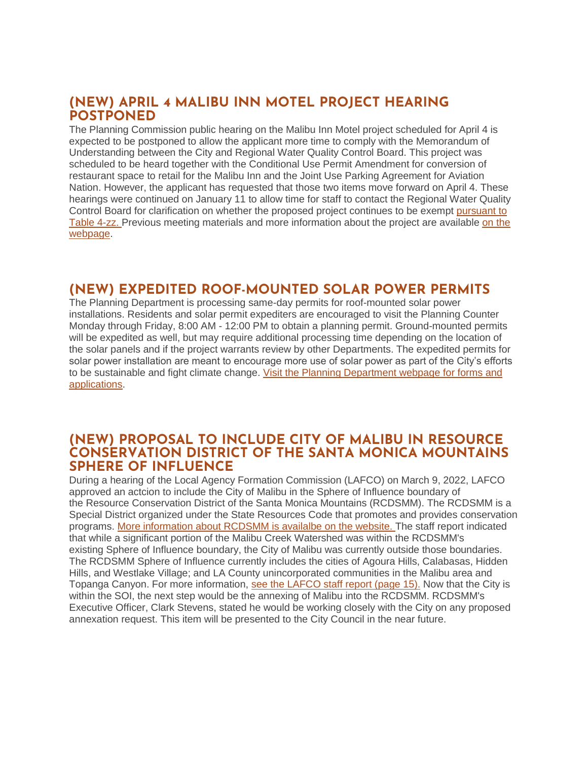### **(NEW) APRIL 4 MALIBU INN MOTEL PROJECT HEARING POSTPONED**

The Planning Commission public hearing on the Malibu Inn Motel project scheduled for April 4 is expected to be postponed to allow the applicant more time to comply with the Memorandum of Understanding between the City and Regional Water Quality Control Board. This project was scheduled to be heard together with the Conditional Use Permit Amendment for conversion of restaurant space to retail for the Malibu Inn and the Joint Use Parking Agreement for Aviation Nation. However, the applicant has requested that those two items move forward on April 4. These hearings were continued on January 11 to allow time for staff to contact the Regional Water Quality Control Board for clarification on whether the proposed project continues to be exempt [pursuant to](https://malibucity.org/DocumentCenter/View/29241/Table4-zzResolutionR14-003)  [Table 4-zz.](https://malibucity.org/DocumentCenter/View/29241/Table4-zzResolutionR14-003) Previous meeting materials and more information about the project are available [on the](https://www.malibucity.org/810/Malibu-Inn-Motel)  [webpage.](https://www.malibucity.org/810/Malibu-Inn-Motel)

## **(NEW) EXPEDITED ROOF-MOUNTED SOLAR POWER PERMITS**

The Planning Department is processing same-day permits for roof-mounted solar power installations. Residents and solar permit expediters are encouraged to visit the Planning Counter Monday through Friday, 8:00 AM - 12:00 PM to obtain a planning permit. Ground-mounted permits will be expedited as well, but may require additional processing time depending on the location of the solar panels and if the project warrants review by other Departments. The expedited permits for solar power installation are meant to encourage more use of solar power as part of the City's efforts to be sustainable and fight climate change. [Visit the Planning Department webpage for forms and](https://malibucity.org/369/Applications-Forms-Fees)  [applications.](https://malibucity.org/369/Applications-Forms-Fees)

### **(NEW) PROPOSAL TO INCLUDE CITY OF MALIBU IN RESOURCE CONSERVATION DISTRICT OF THE SANTA MONICA MOUNTAINS SPHERE OF INFLUENCE**

During a hearing of the Local Agency Formation Commission (LAFCO) on March 9, 2022, LAFCO approved an actcion to include the City of Malibu in the Sphere of Influence boundary of the Resource Conservation District of the Santa Monica Mountains (RCDSMM). The RCDSMM is a Special District organized under the State Resources Code that promotes and provides conservation programs. [More information about RCDSMM is availalbe on the website.](https://www.rcdsmm.org/) The staff report indicated that while a significant portion of the Malibu Creek Watershed was within the RCDSMM's existing Sphere of Influence boundary, the City of Malibu was currently outside those boundaries. The RCDSMM Sphere of Influence currently includes the cities of Agoura Hills, Calabasas, Hidden Hills, and Westlake Village; and LA County unincorporated communities in the Malibu area and Topanga Canyon. For more information, [see the LAFCO staff report \(page 15\).](https://lalafco.org/wp-content/uploads/documents/2022-meeting/Updated%20Finalized%20Agenda%2003-09-2022%20w%20links%204_1pdf) Now that the City is within the SOI, the next step would be the annexing of Malibu into the RCDSMM. RCDSMM's Executive Officer, Clark Stevens, stated he would be working closely with the City on any proposed annexation request. This item will be presented to the City Council in the near future.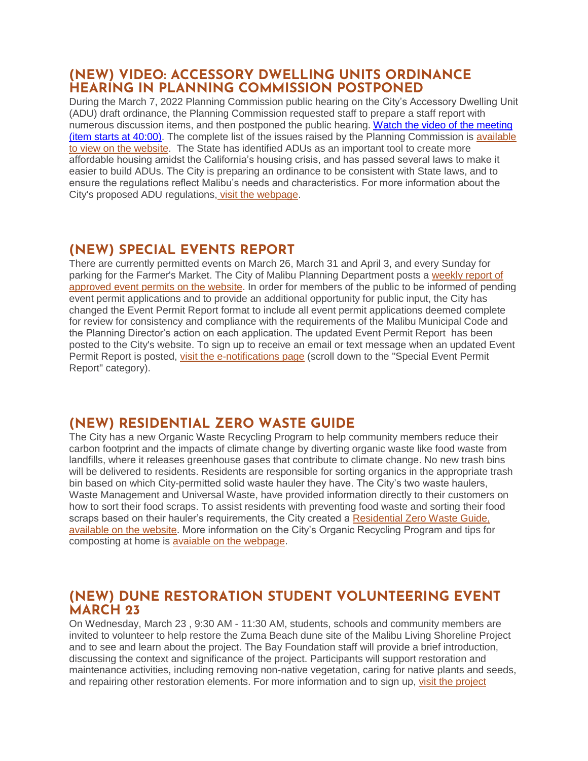## **(NEW) VIDEO: ACCESSORY DWELLING UNITS ORDINANCE HEARING IN PLANNING COMMISSION POSTPONED**

During the March 7, 2022 Planning Commission public hearing on the City's Accessory Dwelling Unit (ADU) draft ordinance, the Planning Commission requested staff to prepare a staff report with numerous discussion items, and then postponed the public hearing. [Watch the video of the meeting](https://malibucity.primegov.com/Portal/Meeting?compiledMeetingDocumentFileId=2428)  [\(item starts at 40:00\).](https://malibucity.primegov.com/Portal/Meeting?compiledMeetingDocumentFileId=2428) The complete list of the issues raised by the Planning Commission is [available](https://malibucity.org/DocumentCenter/View/29501/Planning-Commission-Actions_3722)  [to view on the website.](https://malibucity.org/DocumentCenter/View/29501/Planning-Commission-Actions_3722) The State has identified ADUs as an important tool to create more affordable housing amidst the California's housing crisis, and has passed several laws to make it easier to build ADUs. The City is preparing an ordinance to be consistent with State laws, and to ensure the regulations reflect Malibu's needs and characteristics. For more information about the City's proposed ADU regulations, [visit the webpage.](https://www.malibucity.org/adu)

# **(NEW) SPECIAL EVENTS REPORT**

There are currently permitted events on March 26, March 31 and April 3, and every Sunday for parking for the Farmer's Market. The City of Malibu Planning Department posts a [weekly report of](https://www.malibucity.org/DocumentCenter/View/24661/Permitted-Events)  [approved event permits on the website.](https://www.malibucity.org/DocumentCenter/View/24661/Permitted-Events) In order for members of the public to be informed of pending event permit applications and to provide an additional opportunity for public input, the City has changed the Event Permit Report format to include all event permit applications deemed complete for review for consistency and compliance with the requirements of the Malibu Municipal Code and the Planning Director's action on each application. The updated Event Permit Report has been posted to the City's website. To sign up to receive an email or text message when an updated Event Permit Report is posted, [visit the e-notifications page](https://www.malibucity.org/news) (scroll down to the "Special Event Permit Report" category).

# **(NEW) RESIDENTIAL ZERO WASTE GUIDE**

The City has a new Organic Waste Recycling Program to help community members reduce their carbon footprint and the impacts of climate change by diverting organic waste like food waste from landfills, where it releases greenhouse gases that contribute to climate change. No new trash bins will be delivered to residents. Residents are responsible for sorting organics in the appropriate trash bin based on which City-permitted solid waste hauler they have. The City's two waste haulers, Waste Management and Universal Waste, have provided information directly to their customers on how to sort their food scraps. To assist residents with preventing food waste and sorting their food scraps based on their hauler's requirements, the City created a Residential Zero Waste Guide, [available on the website.](http://www.malibucity.org/homezerowasteguide) More information on the City's Organic Recycling Program and tips for composting at home is [avaiable on the webpage.](http://www.malibucity.org/organics)

## **(NEW) DUNE RESTORATION STUDENT VOLUNTEERING EVENT MARCH 23**

On Wednesday, March 23 , 9:30 AM - 11:30 AM, students, schools and community members are invited to volunteer to help restore the Zuma Beach dune site of the Malibu Living Shoreline Project and to see and learn about the project. The Bay Foundation staff will provide a brief introduction, discussing the context and significance of the project. Participants will support restoration and maintenance activities, including removing non-native vegetation, caring for native plants and seeds, and repairing other restoration elements. For more information and to sign up, [visit the project](https://www.santamonicabay.org/events/malibu-living-shoreline-student-restoration-event-3-23)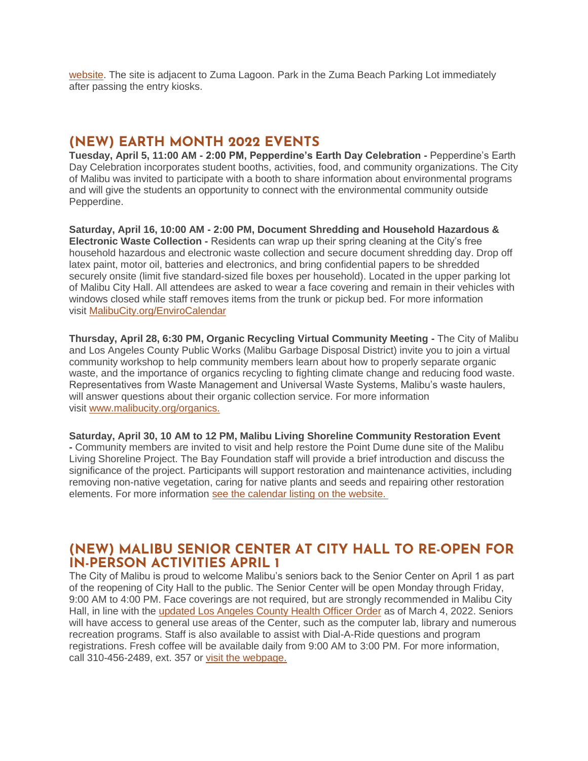[website.](https://www.santamonicabay.org/events/malibu-living-shoreline-student-restoration-event-3-23) The site is adjacent to Zuma Lagoon. Park in the Zuma Beach Parking Lot immediately after passing the entry kiosks.

## **(NEW) EARTH MONTH 2022 EVENTS**

**Tuesday, April 5, 11:00 AM - 2:00 PM, Pepperdine's Earth Day Celebration -** Pepperdine's Earth Day Celebration incorporates student booths, activities, food, and community organizations. The City of Malibu was invited to participate with a booth to share information about environmental programs and will give the students an opportunity to connect with the environmental community outside Pepperdine.

**Saturday, April 16, 10:00 AM - 2:00 PM, Document Shredding and Household Hazardous & Electronic Waste Collection -** Residents can wrap up their spring cleaning at the City's free household hazardous and electronic waste collection and secure document shredding day. Drop off latex paint, motor oil, batteries and electronics, and bring confidential papers to be shredded securely onsite (limit five standard-sized file boxes per household). Located in the upper parking lot of Malibu City Hall. All attendees are asked to wear a face covering and remain in their vehicles with windows closed while staff removes items from the trunk or pickup bed. For more information visit [MalibuCity.org/EnviroCalendar](https://malibucity.org/EnviroCalendar)

**Thursday, April 28, 6:30 PM, Organic Recycling Virtual Community Meeting -** The City of Malibu and Los Angeles County Public Works (Malibu Garbage Disposal District) invite you to join a virtual community workshop to help community members learn about how to properly separate organic waste, and the importance of organics recycling to fighting climate change and reducing food waste. Representatives from Waste Management and Universal Waste Systems, Malibu's waste haulers, will answer questions about their organic collection service. For more information visit [www.malibucity.org/organics.](http://www.malibucity.org/organics)

**Saturday, April 30, 10 AM to 12 PM, Malibu Living Shoreline Community Restoration Event -** Community members are invited to visit and help restore the Point Dume dune site of the Malibu Living Shoreline Project. The Bay Foundation staff will provide a brief introduction and discuss the significance of the project. Participants will support restoration and maintenance activities, including removing non-native vegetation, caring for native plants and seeds and repairing other restoration

elements. For more information [see the calendar listing on the website.](http://www.malibucity.org/EnviroCalendar) 

### **(NEW) MALIBU SENIOR CENTER AT CITY HALL TO RE-OPEN FOR IN-PERSON ACTIVITIES APRIL 1**

The City of Malibu is proud to welcome Malibu's seniors back to the Senior Center on April 1 as part of the reopening of City Hall to the public. The Senior Center will be open Monday through Friday, 9:00 AM to 4:00 PM. Face coverings are not required, but are strongly recommended in Malibu City Hall, in line with the [updated Los Angeles County Health Officer Order](http://publichealth.lacounty.gov/media/Coronavirus/docs/HOO/HOO_SaferReturnWorkCommunity.pdf) as of March 4, 2022. Seniors will have access to general use areas of the Center, such as the computer lab, library and numerous recreation programs. Staff is also available to assist with Dial-A-Ride questions and program registrations. Fresh coffee will be available daily from 9:00 AM to 3:00 PM. For more information, call 310-456-2489, ext. 357 or [visit the webpage.](https://www.malibucity.org/seniorcenter)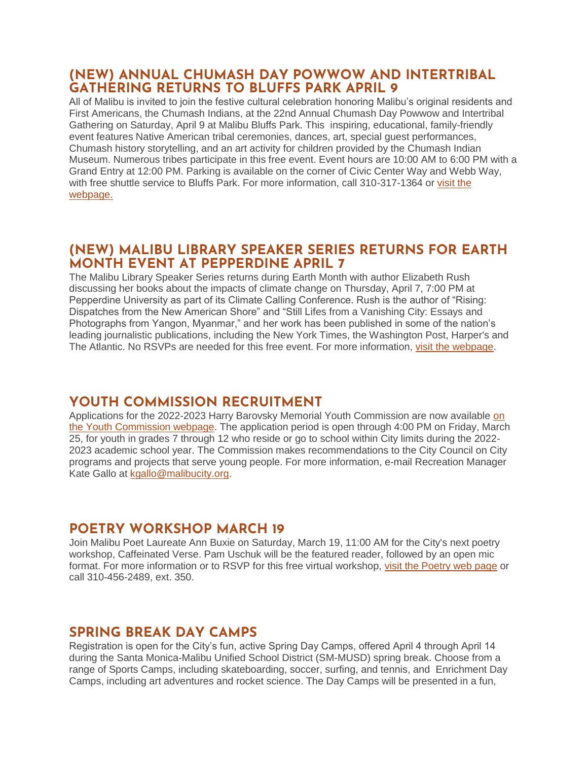### **(NEW) ANNUAL CHUMASH DAY POWWOW AND INTERTRIBAL GATHERING RETURNS TO BLUFFS PARK APRIL 9**

All of Malibu is invited to join the festive cultural celebration honoring Malibu's original residents and First Americans, the Chumash Indians, at the 22nd Annual Chumash Day Powwow and Intertribal Gathering on Saturday, April 9 at Malibu Bluffs Park. This inspiring, educational, family-friendly event features Native American tribal ceremonies, dances, art, special guest performances, Chumash history storytelling, and an art activity for children provided by the Chumash Indian Museum. Numerous tribes participate in this free event. Event hours are 10:00 AM to 6:00 PM with a Grand Entry at 12:00 PM. Parking is available on the corner of Civic Center Way and Webb Way, with free shuttle service to Bluffs Park. For more information, call 310-317-1364 or [visit the](http://www.malibucity.org/ChumashDay)  [webpage.](http://www.malibucity.org/ChumashDay)

## **(NEW) MALIBU LIBRARY SPEAKER SERIES RETURNS FOR EARTH MONTH EVENT AT PEPPERDINE APRIL 7**

The Malibu Library Speaker Series returns during Earth Month with author Elizabeth Rush discussing her books about the impacts of climate change on Thursday, April 7, 7:00 PM at Pepperdine University as part of its Climate Calling Conference. Rush is the author of "Rising: Dispatches from the New American Shore" and "Still Lifes from a Vanishing City: Essays and Photographs from Yangon, Myanmar," and her work has been published in some of the nation's leading journalistic publications, including the New York Times, the Washington Post, Harper's and The Atlantic. No RSVPs are needed for this free event. For more information, [visit the webpage.](http://www.malibucity.org/LibrarySpeakers)

# **YOUTH COMMISSION RECRUITMENT**

Applications for the 2022-2023 Harry Barovsky Memorial Youth Commission are now available [on](https://www.malibucity.org/178/Harry-Barovsky-Memorial-Youth-Commission)  [the Youth Commission webpage.](https://www.malibucity.org/178/Harry-Barovsky-Memorial-Youth-Commission) The application period is open through 4:00 PM on Friday, March 25, for youth in grades 7 through 12 who reside or go to school within City limits during the 2022- 2023 academic school year. The Commission makes recommendations to the City Council on City programs and projects that serve young people. For more information, e-mail Recreation Manager Kate Gallo at [kgallo@malibucity.org.](mailto:kgallo@malibucity.org)

# **POETRY WORKSHOP MARCH 19**

Join Malibu Poet Laureate Ann Buxie on Saturday, March 19, 11:00 AM for the City's next poetry workshop, Caffeinated Verse. Pam Uschuk will be the featured reader, followed by an open mic format. For more information or to RSVP for this free virtual workshop, [visit the Poetry web page](https://www.malibucity.org/poetry) or call 310-456-2489, ext. 350.

## **SPRING BREAK DAY CAMPS**

Registration is open for the City's fun, active Spring Day Camps, offered April 4 through April 14 during the Santa Monica-Malibu Unified School District (SM-MUSD) spring break. Choose from a range of Sports Camps, including skateboarding, soccer, surfing, and tennis, and Enrichment Day Camps, including art adventures and rocket science. The Day Camps will be presented in a fun,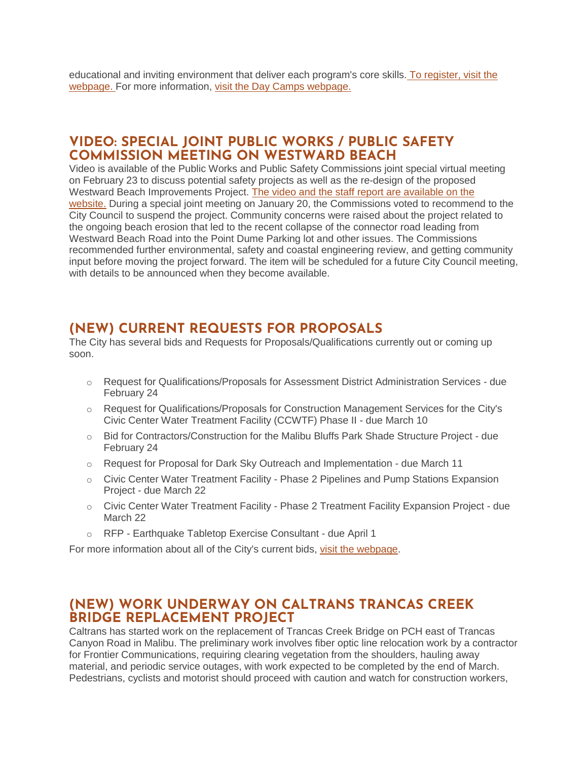educational and inviting environment that deliver each program's core skills. [To register, visit the](https://www.malibucity.org/register)  [webpage.](https://www.malibucity.org/register) For more information, [visit the Day Camps webpage.](https://www.malibucity.org/daycamps)

### **VIDEO: SPECIAL JOINT PUBLIC WORKS / PUBLIC SAFETY COMMISSION MEETING ON WESTWARD BEACH**

Video is available of the Public Works and Public Safety Commissions joint special virtual meeting on February 23 to discuss potential safety projects as well as the re-design of the proposed Westward Beach Improvements Project. [The video and the staff report are available on the](https://malibucity.primegov.com/Portal/Meeting?compiledMeetingDocumentFileId=2413)  [website.](https://malibucity.primegov.com/Portal/Meeting?compiledMeetingDocumentFileId=2413) During a special joint meeting on January 20, the Commissions voted to recommend to the City Council to suspend the project. Community concerns were raised about the project related to the ongoing beach erosion that led to the recent collapse of the connector road leading from Westward Beach Road into the Point Dume Parking lot and other issues. The Commissions recommended further environmental, safety and coastal engineering review, and getting community input before moving the project forward. The item will be scheduled for a future City Council meeting, with details to be announced when they become available.

## **(NEW) CURRENT REQUESTS FOR PROPOSALS**

The City has several bids and Requests for Proposals/Qualifications currently out or coming up soon.

- o Request for Qualifications/Proposals for Assessment District Administration Services due February 24
- o Request for Qualifications/Proposals for Construction Management Services for the City's Civic Center Water Treatment Facility (CCWTF) Phase II - due March 10
- o Bid for Contractors/Construction for the Malibu Bluffs Park Shade Structure Project due February 24
- $\circ$  Request for Proposal for Dark Sky Outreach and Implementation due March 11
- o Civic Center Water Treatment Facility Phase 2 Pipelines and Pump Stations Expansion Project - due March 22
- o Civic Center Water Treatment Facility Phase 2 Treatment Facility Expansion Project due March 22
- o RFP Earthquake Tabletop Exercise Consultant due April 1

For more information about all of the City's current bids, [visit the webpage.](https://malibucity.org/bids)

### **(NEW) WORK UNDERWAY ON CALTRANS TRANCAS CREEK BRIDGE REPLACEMENT PROJECT**

Caltrans has started work on the replacement of Trancas Creek Bridge on PCH east of Trancas Canyon Road in Malibu. The preliminary work involves fiber optic line relocation work by a contractor for Frontier Communications, requiring clearing vegetation from the shoulders, hauling away material, and periodic service outages, with work expected to be completed by the end of March. Pedestrians, cyclists and motorist should proceed with caution and watch for construction workers,